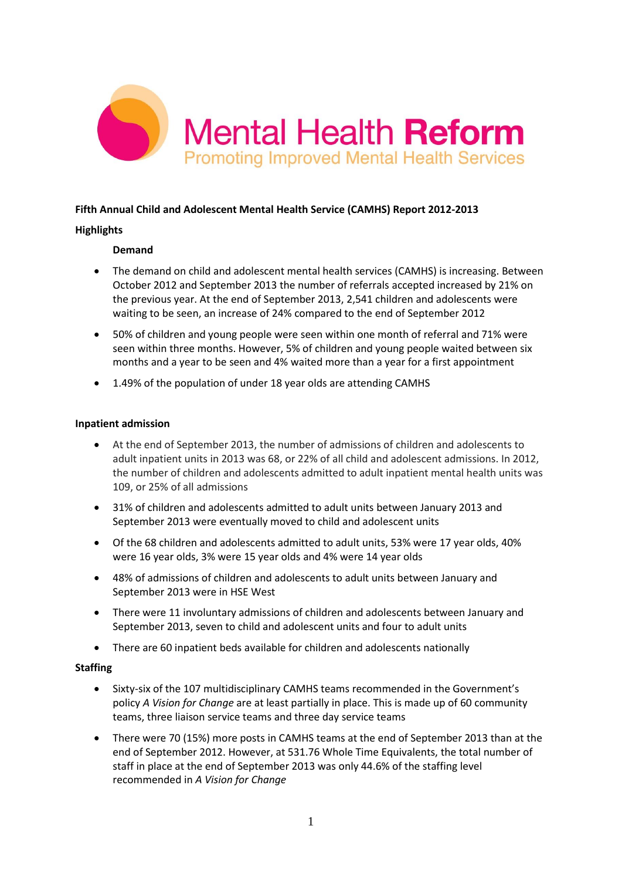

# **Fifth Annual Child and Adolescent Mental Health Service (CAMHS) Report 2012-2013**

## **Highlights**

## **Demand**

- The demand on child and adolescent mental health services (CAMHS) is increasing. Between October 2012 and September 2013 the number of referrals accepted increased by 21% on the previous year. At the end of September 2013, 2,541 children and adolescents were waiting to be seen, an increase of 24% compared to the end of September 2012
- 50% of children and young people were seen within one month of referral and 71% were seen within three months. However, 5% of children and young people waited between six months and a year to be seen and 4% waited more than a year for a first appointment
- 1.49% of the population of under 18 year olds are attending CAMHS

### **Inpatient admission**

- At the end of September 2013, the number of admissions of children and adolescents to adult inpatient units in 2013 was 68, or 22% of all child and adolescent admissions. In 2012, the number of children and adolescents admitted to adult inpatient mental health units was 109, or 25% of all admissions
- 31% of children and adolescents admitted to adult units between January 2013 and September 2013 were eventually moved to child and adolescent units
- Of the 68 children and adolescents admitted to adult units, 53% were 17 year olds, 40% were 16 year olds, 3% were 15 year olds and 4% were 14 year olds
- 48% of admissions of children and adolescents to adult units between January and September 2013 were in HSE West
- There were 11 involuntary admissions of children and adolescents between January and September 2013, seven to child and adolescent units and four to adult units
- There are 60 inpatient beds available for children and adolescents nationally

### **Staffing**

- Sixty-six of the 107 multidisciplinary CAMHS teams recommended in the Government's policy *A Vision for Change* are at least partially in place. This is made up of 60 community teams, three liaison service teams and three day service teams
- There were 70 (15%) more posts in CAMHS teams at the end of September 2013 than at the end of September 2012. However, at 531.76 Whole Time Equivalents, the total number of staff in place at the end of September 2013 was only 44.6% of the staffing level recommended in *A Vision for Change*